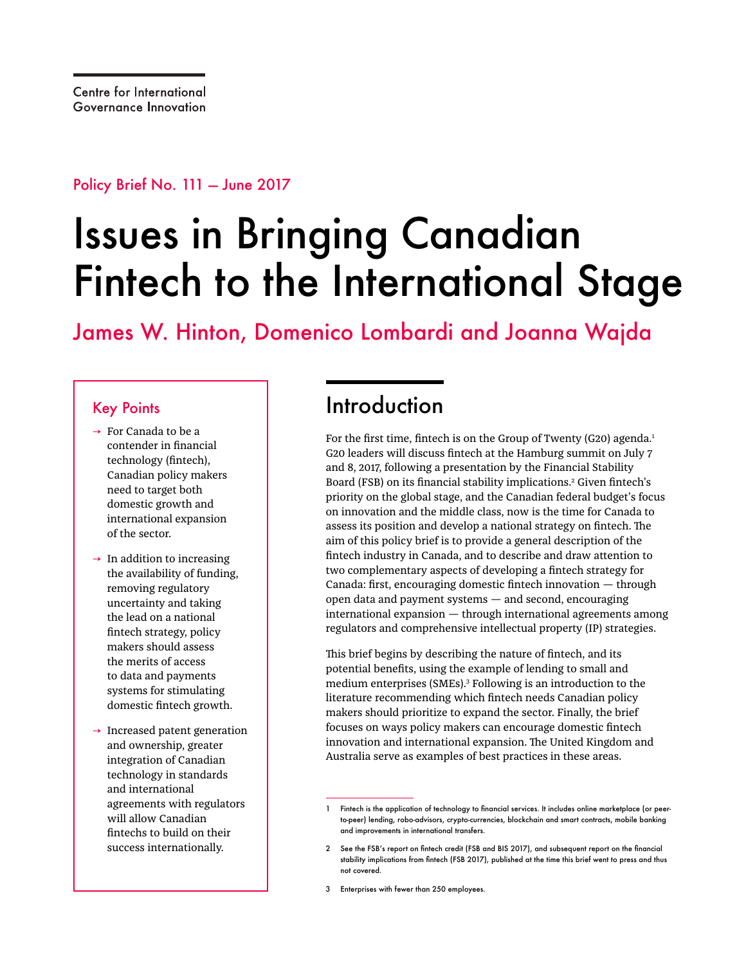Policy Brief No. 111 — June 2017

# Issues in Bringing Canadian Fintech to the International Stage

James W. Hinton, Domenico Lombardi and Joanna Wajda

### Key Points

- → For Canada to be a contender in financial technology (fintech), Canadian policy makers need to target both domestic growth and international expansion of the sector.
- $\rightarrow$  In addition to increasing the availability of funding, removing regulatory uncertainty and taking the lead on a national fintech strategy, policy makers should assess the merits of access to data and payments systems for stimulating domestic fintech growth.
- $\rightarrow$  Increased patent generation and ownership, greater integration of Canadian technology in standards and international agreements with regulators will allow Canadian fintechs to build on their success internationally.

### Introduction

For the first time, fintech is on the Group of Twenty (G20) agenda.<sup>1</sup> G20 leaders will discuss fintech at the Hamburg summit on July 7 and 8, 2017, following a presentation by the Financial Stability Board (FSB) on its financial stability implications.2 Given fintech's priority on the global stage, and the Canadian federal budget's focus on innovation and the middle class, now is the time for Canada to assess its position and develop a national strategy on fintech. The aim of this policy brief is to provide a general description of the fintech industry in Canada, and to describe and draw attention to two complementary aspects of developing a fintech strategy for Canada: first, encouraging domestic fintech innovation — through open data and payment systems — and second, encouraging international expansion — through international agreements among regulators and comprehensive intellectual property (IP) strategies.

This brief begins by describing the nature of fintech, and its potential benefits, using the example of lending to small and medium enterprises (SMEs).3 Following is an introduction to the literature recommending which fintech needs Canadian policy makers should prioritize to expand the sector. Finally, the brief focuses on ways policy makers can encourage domestic fintech innovation and international expansion. The United Kingdom and Australia serve as examples of best practices in these areas.

<sup>1</sup> Fintech is the application of technology to financial services. It includes online marketplace (or peerto-peer) lending, robo-advisors, crypto-currencies, blockchain and smart contracts, mobile banking and improvements in international transfers.

<sup>2</sup> See the FSB's report on fintech credit (FSB and BIS 2017), and subsequent report on the financial stability implications from fintech (FSB 2017), published at the time this brief went to press and thus not covered.

<sup>3</sup> Enterprises with fewer than 250 employees.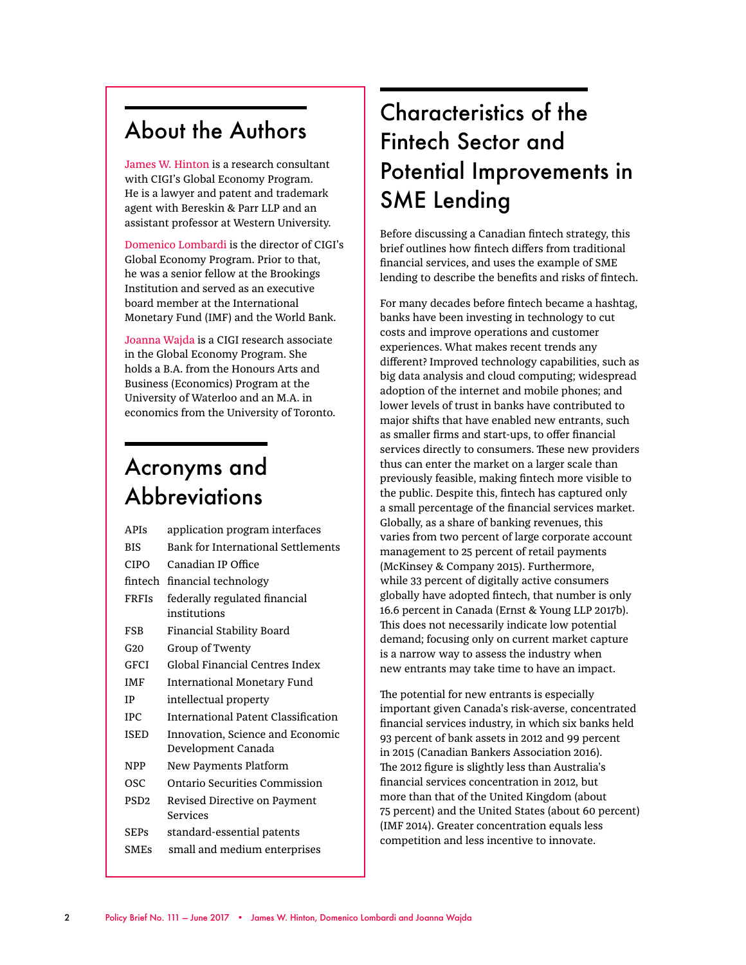### About the Authors

James W. Hinton is a research consultant with CIGI's Global Economy Program. He is a lawyer and patent and trademark agent with Bereskin & Parr LLP and an assistant professor at Western University.

Domenico Lombardi is the director of CIGI's Global Economy Program. Prior to that, he was a senior fellow at the Brookings Institution and served as an executive board member at the International Monetary Fund (IMF) and the World Bank.

Joanna Wajda is a CIGI research associate in the Global Economy Program. She holds a B.A. from the Honours Arts and Business (Economics) Program at the University of Waterloo and an M.A. in economics from the University of Toronto.

### Acronyms and **Abbreviations**

| <b>APIS</b>      | application program interfaces            |
|------------------|-------------------------------------------|
| <b>BIS</b>       | <b>Bank for International Settlements</b> |
| <b>CIPO</b>      | Canadian IP Office                        |
| fintech          | financial technology                      |
| <b>FRFIS</b>     | federally regulated financial             |
|                  | institutions                              |
| FSB              | Financial Stability Board                 |
| G20              | Group of Twenty                           |
| GFCI             | Global Financial Centres Index            |
| IMF              | International Monetary Fund               |
| ΙP               | intellectual property                     |
| TPC.             | International Patent Classification       |
| ISED             | Innovation, Science and Economic          |
|                  | Development Canada                        |
| NPP              | New Payments Platform                     |
| OSC              | Ontario Securities Commission             |
| PSD <sub>2</sub> | Revised Directive on Payment              |
|                  | Services                                  |
| SEPs             | standard-essential patents                |
| <b>SMEs</b>      | small and medium enterprises              |

# Characteristics of the Fintech Sector and Potential Improvements in SME Lending

Before discussing a Canadian fintech strategy, this brief outlines how fintech differs from traditional financial services, and uses the example of SME lending to describe the benefits and risks of fintech.

For many decades before fintech became a hashtag, banks have been investing in technology to cut costs and improve operations and customer experiences. What makes recent trends any different? Improved technology capabilities, such as big data analysis and cloud computing; widespread adoption of the internet and mobile phones; and lower levels of trust in banks have contributed to major shifts that have enabled new entrants, such as smaller firms and start-ups, to offer financial services directly to consumers. These new providers thus can enter the market on a larger scale than previously feasible, making fintech more visible to the public. Despite this, fintech has captured only a small percentage of the financial services market. Globally, as a share of banking revenues, this varies from two percent of large corporate account management to 25 percent of retail payments (McKinsey & Company 2015). Furthermore, while 33 percent of digitally active consumers globally have adopted fintech, that number is only 16.6 percent in Canada (Ernst & Young LLP 2017b). This does not necessarily indicate low potential demand; focusing only on current market capture is a narrow way to assess the industry when new entrants may take time to have an impact.

The potential for new entrants is especially important given Canada's risk-averse, concentrated financial services industry, in which six banks held 93 percent of bank assets in 2012 and 99 percent in 2015 (Canadian Bankers Association 2016). The 2012 figure is slightly less than Australia's financial services concentration in 2012, but more than that of the United Kingdom (about 75 percent) and the United States (about 60 percent) (IMF 2014). Greater concentration equals less competition and less incentive to innovate.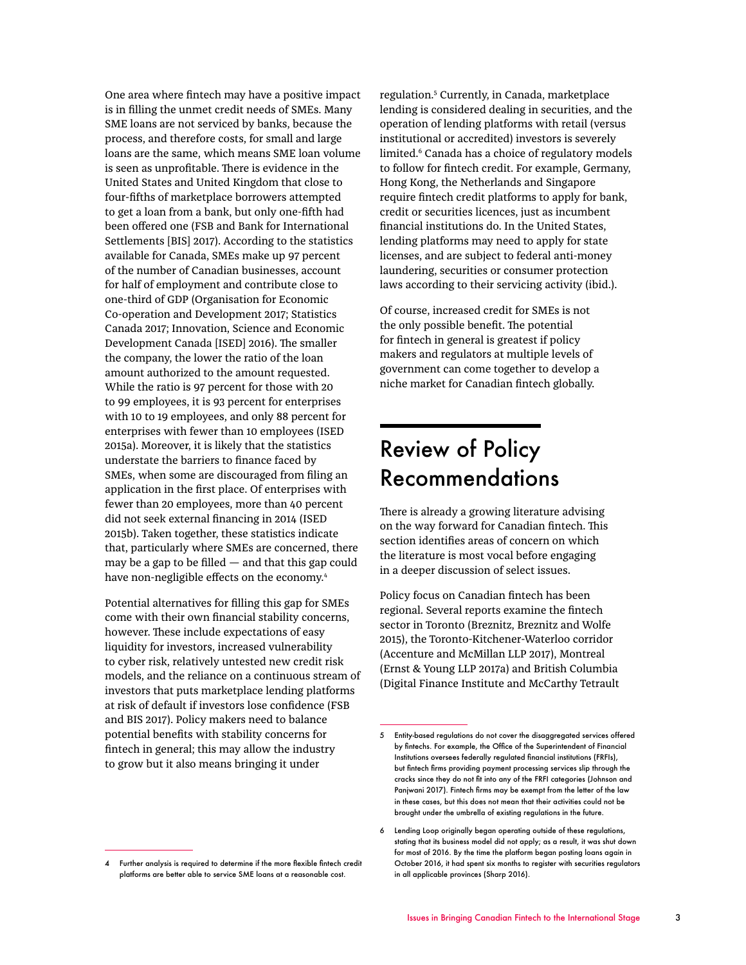One area where fintech may have a positive impact is in filling the unmet credit needs of SMEs. Many SME loans are not serviced by banks, because the process, and therefore costs, for small and large loans are the same, which means SME loan volume is seen as unprofitable. There is evidence in the United States and United Kingdom that close to four-fifths of marketplace borrowers attempted to get a loan from a bank, but only one-fifth had been offered one (FSB and Bank for International Settlements [BIS] 2017). According to the statistics available for Canada, SMEs make up 97 percent of the number of Canadian businesses, account for half of employment and contribute close to one-third of GDP (Organisation for Economic Co-operation and Development 2017; Statistics Canada 2017; Innovation, Science and Economic Development Canada [ISED] 2016). The smaller the company, the lower the ratio of the loan amount authorized to the amount requested. While the ratio is 97 percent for those with 20 to 99 employees, it is 93 percent for enterprises with 10 to 19 employees, and only 88 percent for enterprises with fewer than 10 employees (ISED 2015a). Moreover, it is likely that the statistics understate the barriers to finance faced by SMEs, when some are discouraged from filing an application in the first place. Of enterprises with fewer than 20 employees, more than 40 percent did not seek external financing in 2014 (ISED 2015b). Taken together, these statistics indicate that, particularly where SMEs are concerned, there may be a gap to be filled  $-$  and that this gap could have non-negligible effects on the economy.<sup>4</sup>

Potential alternatives for filling this gap for SMEs come with their own financial stability concerns, however. These include expectations of easy liquidity for investors, increased vulnerability to cyber risk, relatively untested new credit risk models, and the reliance on a continuous stream of investors that puts marketplace lending platforms at risk of default if investors lose confidence (FSB and BIS 2017). Policy makers need to balance potential benefits with stability concerns for fintech in general; this may allow the industry to grow but it also means bringing it under

regulation.5 Currently, in Canada, marketplace lending is considered dealing in securities, and the operation of lending platforms with retail (versus institutional or accredited) investors is severely limited.<sup>6</sup> Canada has a choice of regulatory models to follow for fintech credit. For example, Germany, Hong Kong, the Netherlands and Singapore require fintech credit platforms to apply for bank, credit or securities licences, just as incumbent financial institutions do. In the United States, lending platforms may need to apply for state licenses, and are subject to federal anti-money laundering, securities or consumer protection laws according to their servicing activity (ibid.).

Of course, increased credit for SMEs is not the only possible benefit. The potential for fintech in general is greatest if policy makers and regulators at multiple levels of government can come together to develop a niche market for Canadian fintech globally.

### Review of Policy Recommendations

There is already a growing literature advising on the way forward for Canadian fintech. This section identifies areas of concern on which the literature is most vocal before engaging in a deeper discussion of select issues.

Policy focus on Canadian fintech has been regional. Several reports examine the fintech sector in Toronto (Breznitz, Breznitz and Wolfe 2015), the Toronto-Kitchener-Waterloo corridor (Accenture and McMillan LLP 2017), Montreal (Ernst & Young LLP 2017a) and British Columbia (Digital Finance Institute and McCarthy Tetrault

<sup>5</sup> Entity-based regulations do not cover the disaggregated services offered by fintechs. For example, the Office of the Superintendent of Financial Institutions oversees federally regulated financial institutions (FRFIs), but fintech firms providing payment processing services slip through the cracks since they do not fit into any of the FRFI categories (Johnson and Panjwani 2017). Fintech firms may be exempt from the letter of the law in these cases, but this does not mean that their activities could not be brought under the umbrella of existing regulations in the future.

<sup>6</sup> Lending Loop originally began operating outside of these regulations, stating that its business model did not apply; as a result, it was shut down for most of 2016. By the time the platform began posting loans again in October 2016, it had spent six months to register with securities regulators in all applicable provinces (Sharp 2016).

<sup>4</sup> Further analysis is required to determine if the more flexible fintech credit platforms are better able to service SME loans at a reasonable cost.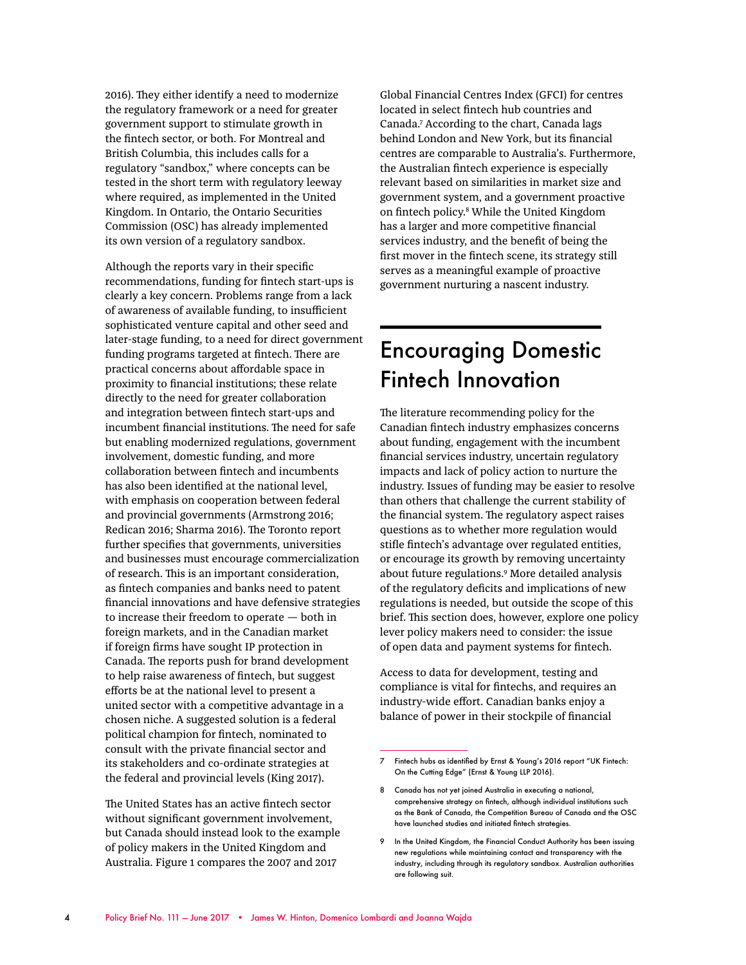2016). They either identify a need to modernize the regulatory framework or a need for greater government support to stimulate growth in the fintech sector, or both. For Montreal and British Columbia, this includes calls for a regulatory "sandbox," where concepts can be tested in the short term with regulatory leeway where required, as implemented in the United Kingdom. In Ontario, the Ontario Securities Commission (OSC) has already implemented its own version of a regulatory sandbox.

Although the reports vary in their specific recommendations, funding for fintech start-ups is clearly a key concern. Problems range from a lack of awareness of available funding, to insufficient sophisticated venture capital and other seed and later-stage funding, to a need for direct government funding programs targeted at fintech. There are practical concerns about affordable space in proximity to financial institutions; these relate directly to the need for greater collaboration and integration between fintech start-ups and incumbent financial institutions. The need for safe but enabling modernized regulations, government involvement, domestic funding, and more collaboration between fintech and incumbents has also been identified at the national level, with emphasis on cooperation between federal and provincial governments (Armstrong 2016; Redican 2016; Sharma 2016). The Toronto report further specifies that governments, universities and businesses must encourage commercialization of research. This is an important consideration, as fintech companies and banks need to patent financial innovations and have defensive strategies to increase their freedom to operate — both in foreign markets, and in the Canadian market if foreign firms have sought IP protection in Canada. The reports push for brand development to help raise awareness of fintech, but suggest efforts be at the national level to present a united sector with a competitive advantage in a chosen niche. A suggested solution is a federal political champion for fintech, nominated to consult with the private financial sector and its stakeholders and co-ordinate strategies at the federal and provincial levels (King 2017).

The United States has an active fintech sector without significant government involvement, but Canada should instead look to the example of policy makers in the United Kingdom and Australia. Figure 1 compares the 2007 and 2017

Global Financial Centres Index (GFCI) for centres located in select fintech hub countries and Canada.7 According to the chart, Canada lags behind London and New York, but its financial centres are comparable to Australia's. Furthermore, the Australian fintech experience is especially relevant based on similarities in market size and government system, and a government proactive on fintech policy.8 While the United Kingdom has a larger and more competitive financial services industry, and the benefit of being the first mover in the fintech scene, its strategy still serves as a meaningful example of proactive government nurturing a nascent industry.

### Encouraging Domestic Fintech Innovation

The literature recommending policy for the Canadian fintech industry emphasizes concerns about funding, engagement with the incumbent financial services industry, uncertain regulatory impacts and lack of policy action to nurture the industry. Issues of funding may be easier to resolve than others that challenge the current stability of the financial system. The regulatory aspect raises questions as to whether more regulation would stifle fintech's advantage over regulated entities, or encourage its growth by removing uncertainty about future regulations.<sup>9</sup> More detailed analysis of the regulatory deficits and implications of new regulations is needed, but outside the scope of this brief. This section does, however, explore one policy lever policy makers need to consider: the issue of open data and payment systems for fintech.

Access to data for development, testing and compliance is vital for fintechs, and requires an industry-wide effort. Canadian banks enjoy a balance of power in their stockpile of financial

<sup>7</sup> Fintech hubs as identified by Ernst & Young's 2016 report "UK Fintech: On the Cutting Edge" (Ernst & Young LLP 2016).

<sup>8</sup> Canada has not yet joined Australia in executing a national, comprehensive strategy on fintech, although individual institutions such as the Bank of Canada, the Competition Bureau of Canada and the OSC have launched studies and initiated fintech strategies.

<sup>9</sup> In the United Kingdom, the Financial Conduct Authority has been issuing new regulations while maintaining contact and transparency with the industry, including through its regulatory sandbox. Australian authorities are following suit.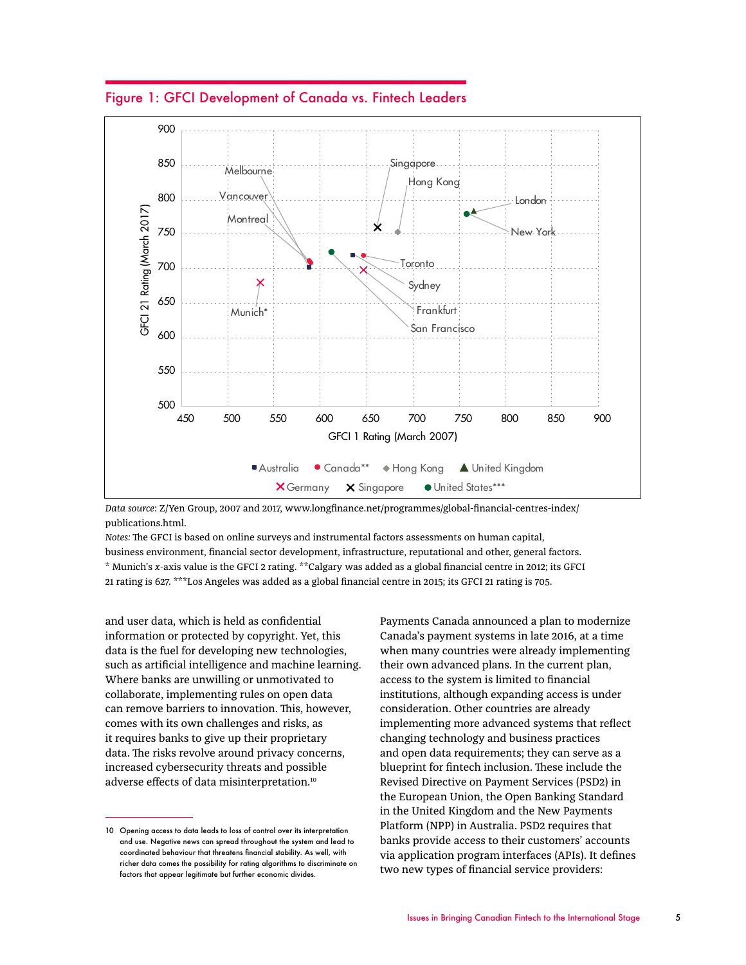Figure 1: GFCI Development of Canada vs. Fintech Leaders



*Data source*: Z/Yen Group, 2007 and 2017, www.longfinance.net/programmes/global-financial-centres-index/ publications.html.

*Notes:* The GFCI is based on online surveys and instrumental factors assessments on human capital, business environment, financial sector development, infrastructure, reputational and other, general factors. \* Munich's *x*-axis value is the GFCI 2 rating. \*\*Calgary was added as a global financial centre in 2012; its GFCI 21 rating is 627. \*\*\*Los Angeles was added as a global financial centre in 2015; its GFCI 21 rating is 705.

and user data, which is held as confidential information or protected by copyright. Yet, this data is the fuel for developing new technologies, such as artificial intelligence and machine learning. Where banks are unwilling or unmotivated to collaborate, implementing rules on open data can remove barriers to innovation. This, however, comes with its own challenges and risks, as it requires banks to give up their proprietary data. The risks revolve around privacy concerns, increased cybersecurity threats and possible adverse effects of data misinterpretation.10

Payments Canada announced a plan to modernize Canada's payment systems in late 2016, at a time when many countries were already implementing their own advanced plans. In the current plan, access to the system is limited to financial institutions, although expanding access is under consideration. Other countries are already implementing more advanced systems that reflect changing technology and business practices and open data requirements; they can serve as a blueprint for fintech inclusion. These include the Revised Directive on Payment Services (PSD2) in the European Union, the Open Banking Standard in the United Kingdom and the New Payments Platform (NPP) in Australia. PSD2 requires that banks provide access to their customers' accounts via application program interfaces (APIs). It defines two new types of financial service providers:

<sup>10</sup> Opening access to data leads to loss of control over its interpretation and use. Negative news can spread throughout the system and lead to coordinated behaviour that threatens financial stability. As well, with richer data comes the possibility for rating algorithms to discriminate on factors that appear legitimate but further economic divides.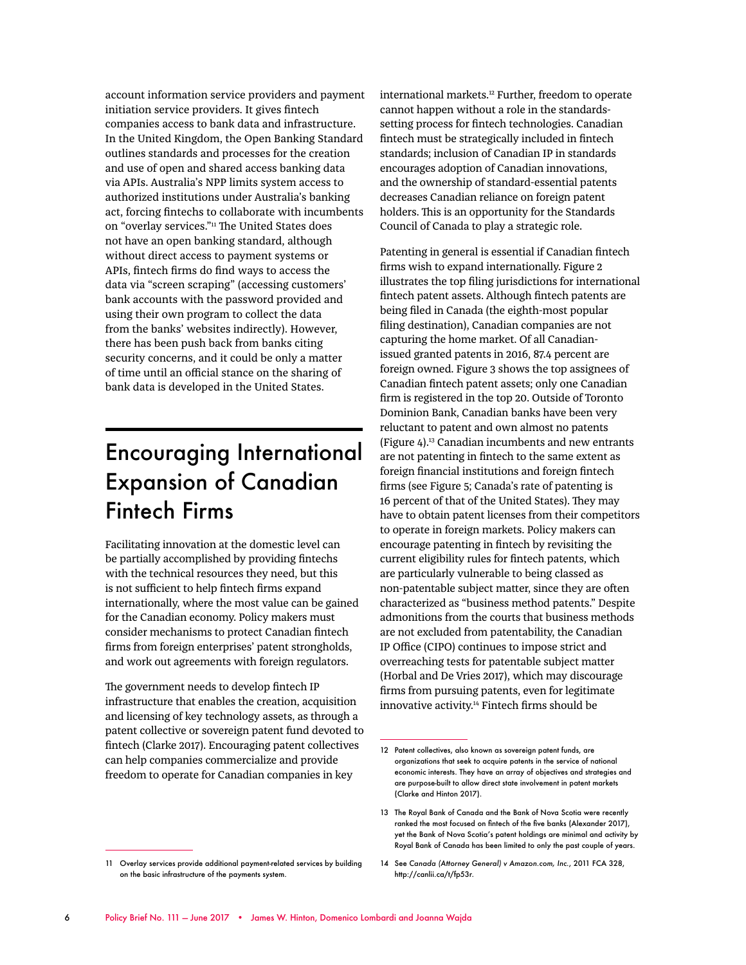account information service providers and payment initiation service providers. It gives fintech companies access to bank data and infrastructure. In the United Kingdom, the Open Banking Standard outlines standards and processes for the creation and use of open and shared access banking data via APIs. Australia's NPP limits system access to authorized institutions under Australia's banking act, forcing fintechs to collaborate with incumbents on "overlay services."<sup>11</sup> The United States does not have an open banking standard, although without direct access to payment systems or APIs, fintech firms do find ways to access the data via "screen scraping" (accessing customers' bank accounts with the password provided and using their own program to collect the data from the banks' websites indirectly). However, there has been push back from banks citing security concerns, and it could be only a matter of time until an official stance on the sharing of bank data is developed in the United States.

### Encouraging International Expansion of Canadian Fintech Firms

Facilitating innovation at the domestic level can be partially accomplished by providing fintechs with the technical resources they need, but this is not sufficient to help fintech firms expand internationally, where the most value can be gained for the Canadian economy. Policy makers must consider mechanisms to protect Canadian fintech firms from foreign enterprises' patent strongholds, and work out agreements with foreign regulators.

The government needs to develop fintech IP infrastructure that enables the creation, acquisition and licensing of key technology assets, as through a patent collective or sovereign patent fund devoted to fintech (Clarke 2017). Encouraging patent collectives can help companies commercialize and provide freedom to operate for Canadian companies in key

international markets.<sup>12</sup> Further, freedom to operate cannot happen without a role in the standardssetting process for fintech technologies. Canadian fintech must be strategically included in fintech standards; inclusion of Canadian IP in standards encourages adoption of Canadian innovations, and the ownership of standard-essential patents decreases Canadian reliance on foreign patent holders. This is an opportunity for the Standards Council of Canada to play a strategic role.

Patenting in general is essential if Canadian fintech firms wish to expand internationally. Figure 2 illustrates the top filing jurisdictions for international fintech patent assets. Although fintech patents are being filed in Canada (the eighth-most popular filing destination), Canadian companies are not capturing the home market. Of all Canadianissued granted patents in 2016, 87.4 percent are foreign owned. Figure 3 shows the top assignees of Canadian fintech patent assets; only one Canadian firm is registered in the top 20. Outside of Toronto Dominion Bank, Canadian banks have been very reluctant to patent and own almost no patents (Figure 4).13 Canadian incumbents and new entrants are not patenting in fintech to the same extent as foreign financial institutions and foreign fintech firms (see Figure 5; Canada's rate of patenting is 16 percent of that of the United States). They may have to obtain patent licenses from their competitors to operate in foreign markets. Policy makers can encourage patenting in fintech by revisiting the current eligibility rules for fintech patents, which are particularly vulnerable to being classed as non-patentable subject matter, since they are often characterized as "business method patents." Despite admonitions from the courts that business methods are not excluded from patentability, the Canadian IP Office (CIPO) continues to impose strict and overreaching tests for patentable subject matter (Horbal and De Vries 2017), which may discourage firms from pursuing patents, even for legitimate innovative activity.14 Fintech firms should be

<sup>12</sup> Patent collectives, also known as sovereian patent funds, are organizations that seek to acquire patents in the service of national economic interests. They have an array of objectives and strategies and are purpose-built to allow direct state involvement in patent markets (Clarke and Hinton 2017).

<sup>13</sup> The Royal Bank of Canada and the Bank of Nova Scotia were recently ranked the most focused on fintech of the five banks (Alexander 2017), yet the Bank of Nova Scotia's patent holdings are minimal and activity by Royal Bank of Canada has been limited to only the past couple of years.

<sup>11</sup> Overlay services provide additional payment-related services by building on the basic infrastructure of the payments system.

<sup>14</sup> See *Canada (Attorney General) v Amazon.com, Inc.*, 2011 FCA 328, http://canlii.ca/t/fp53r.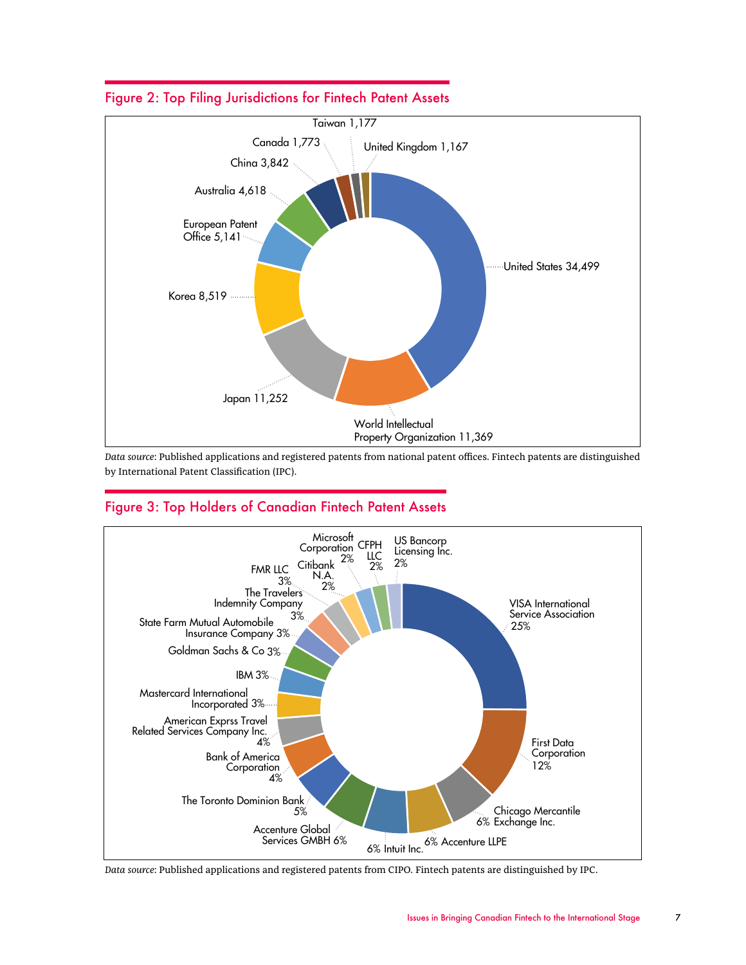

#### Figure 2: Top Filing Jurisdictions for Fintech Patent Assets

*Data source*: Published applications and registered patents from national patent offices. Fintech patents are distinguished by International Patent Classification (IPC).

#### Figure 3: Top Holders of Canadian Fintech Patent Assets



*Data source*: Published applications and registered patents from CIPO. Fintech patents are distinguished by IPC.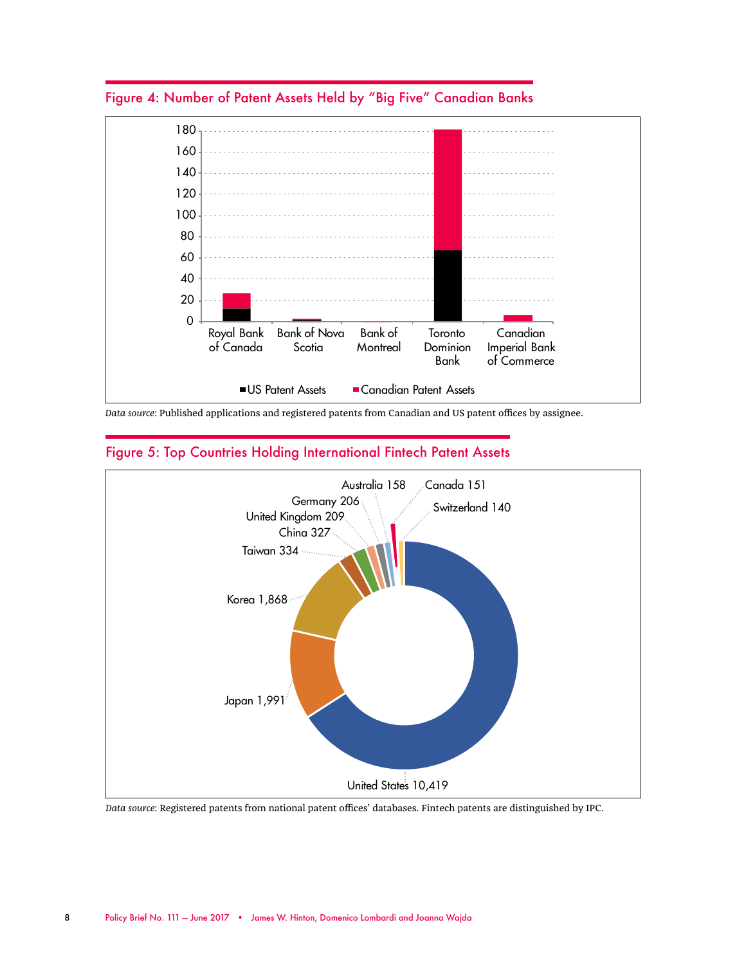

Figure 4: Number of Patent Assets Held by "Big Five" Canadian Banks

*Data source*: Published applications and registered patents from Canadian and US patent offices by assignee.



#### Figure 5: Top Countries Holding International Fintech Patent Assets

*Data source*: Registered patents from national patent offices' databases. Fintech patents are distinguished by IPC.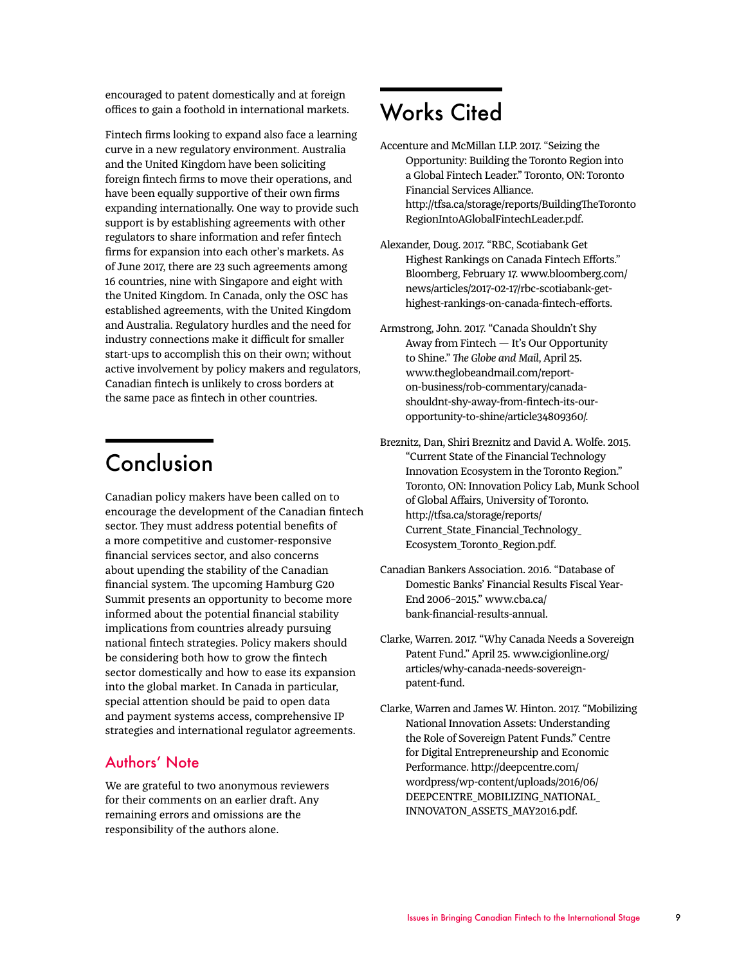encouraged to patent domestically and at foreign offices to gain a foothold in international markets.

Fintech firms looking to expand also face a learning curve in a new regulatory environment. Australia and the United Kingdom have been soliciting foreign fintech firms to move their operations, and have been equally supportive of their own firms expanding internationally. One way to provide such support is by establishing agreements with other regulators to share information and refer fintech firms for expansion into each other's markets. As of June 2017, there are 23 such agreements among 16 countries, nine with Singapore and eight with the United Kingdom. In Canada, only the OSC has established agreements, with the United Kingdom and Australia. Regulatory hurdles and the need for industry connections make it difficult for smaller start-ups to accomplish this on their own; without active involvement by policy makers and regulators, Canadian fintech is unlikely to cross borders at the same pace as fintech in other countries.

### Conclusion

Canadian policy makers have been called on to encourage the development of the Canadian fintech sector. They must address potential benefits of a more competitive and customer-responsive financial services sector, and also concerns about upending the stability of the Canadian financial system. The upcoming Hamburg G20 Summit presents an opportunity to become more informed about the potential financial stability implications from countries already pursuing national fintech strategies. Policy makers should be considering both how to grow the fintech sector domestically and how to ease its expansion into the global market. In Canada in particular, special attention should be paid to open data and payment systems access, comprehensive IP strategies and international regulator agreements.

#### Authors' Note

We are grateful to two anonymous reviewers for their comments on an earlier draft. Any remaining errors and omissions are the responsibility of the authors alone.

### Works Cited

- Accenture and McMillan LLP. 2017. "Seizing the Opportunity: Building the Toronto Region into a Global Fintech Leader." Toronto, ON: Toronto Financial Services Alliance. http://tfsa.ca/storage/reports/BuildingTheToronto RegionIntoAGlobalFintechLeader.pdf.
- Alexander, Doug. 2017. "RBC, Scotiabank Get Highest Rankings on Canada Fintech Efforts." Bloomberg, February 17. www.bloomberg.com/ news/articles/2017-02-17/rbc-scotiabank-gethighest-rankings-on-canada-fintech-efforts.
- Armstrong, John. 2017. "Canada Shouldn't Shy Away from Fintech — It's Our Opportunity to Shine." *The Globe and Mail*, April 25. www.theglobeandmail.com/reporton-business/rob-commentary/canadashouldnt-shy-away-from-fintech-its-ouropportunity-to-shine/article34809360/.

Breznitz, Dan, Shiri Breznitz and David A. Wolfe. 2015. "Current State of the Financial Technology Innovation Ecosystem in the Toronto Region." Toronto, ON: Innovation Policy Lab, Munk School of Global Affairs, University of Toronto. http://tfsa.ca/storage/reports/ Current\_State\_Financial\_Technology\_ Ecosystem\_Toronto\_Region.pdf.

- Canadian Bankers Association. 2016. "Database of Domestic Banks' Financial Results Fiscal Year-End 2006–2015." www.cba.ca/ bank-financial-results-annual.
- Clarke, Warren. 2017. "Why Canada Needs a Sovereign Patent Fund." April 25. www.cigionline.org/ articles/why-canada-needs-sovereignpatent-fund.
- Clarke, Warren and James W. Hinton. 2017. "Mobilizing National Innovation Assets: Understanding the Role of Sovereign Patent Funds." Centre for Digital Entrepreneurship and Economic Performance. http://deepcentre.com/ wordpress/wp-content/uploads/2016/06/ DEEPCENTRE\_MOBILIZING\_NATIONAL\_ INNOVATON\_ASSETS\_MAY2016.pdf.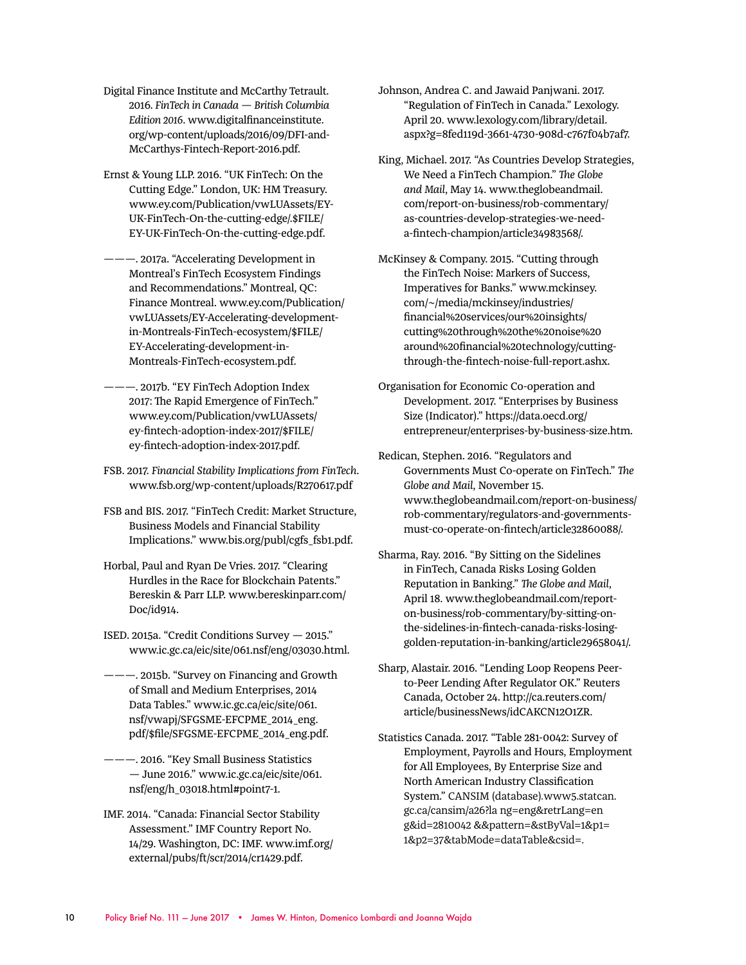- Digital Finance Institute and McCarthy Tetrault. 2016. *FinTech in Canada — British Columbia Edition 2016*. www.digitalfinanceinstitute. org/wp-content/uploads/2016/09/DFI-and-McCarthys-Fintech-Report-2016.pdf.
- Ernst & Young LLP. 2016. "UK FinTech: On the Cutting Edge." London, UK: HM Treasury. www.ey.com/Publication/vwLUAssets/EY-UK-FinTech-On-the-cutting-edge/.\$FILE/ EY-UK-FinTech-On-the-cutting-edge.pdf.
- ———. 2017a. "Accelerating Development in Montreal's FinTech Ecosystem Findings and Recommendations." Montreal, QC: Finance Montreal. www.ey.com/Publication/ vwLUAssets/EY-Accelerating-developmentin-Montreals-FinTech-ecosystem/\$FILE/ EY-Accelerating-development-in-Montreals-FinTech-ecosystem.pdf.
- ———. 2017b. "EY FinTech Adoption Index 2017: The Rapid Emergence of FinTech." www.ey.com/Publication/vwLUAssets/ ey-fintech-adoption-index-2017/\$FILE/ ey-fintech-adoption-index-2017.pdf.
- FSB. 2017. *Financial Stability Implications from FinTech*. www.fsb.org/wp-content/uploads/R270617.pdf
- FSB and BIS. 2017. "FinTech Credit: Market Structure, Business Models and Financial Stability Implications." www.bis.org/publ/cgfs\_fsb1.pdf.
- Horbal, Paul and Ryan De Vries. 2017. "Clearing Hurdles in the Race for Blockchain Patents." Bereskin & Parr LLP. www.bereskinparr.com/ Doc/id914.
- ISED. 2015a. "Credit Conditions Survey 2015." www.ic.gc.ca/eic/site/061.nsf/eng/03030.html.
- ———. 2015b. "Survey on Financing and Growth of Small and Medium Enterprises, 2014 Data Tables." www.ic.gc.ca/eic/site/061. nsf/vwapj/SFGSME-EFCPME\_2014\_eng. pdf/\$file/SFGSME-EFCPME\_2014\_eng.pdf.
- ———. 2016. "Key Small Business Statistics — June 2016." www.ic.gc.ca/eic/site/061. nsf/eng/h\_03018.html#point7-1.
- IMF. 2014. "Canada: Financial Sector Stability Assessment." IMF Country Report No. 14/29. Washington, DC: IMF. www.imf.org/ external/pubs/ft/scr/2014/cr1429.pdf.
- Johnson, Andrea C. and Jawaid Panjwani. 2017. "Regulation of FinTech in Canada." Lexology. April 20. www.lexology.com/library/detail. aspx?g=8fed119d-3661-4730-908d-c767f04b7af7.
- King, Michael. 2017. "As Countries Develop Strategies, We Need a FinTech Champion." *The Globe and Mail*, May 14. www.theglobeandmail. com/report-on-business/rob-commentary/ as-countries-develop-strategies-we-needa-fintech-champion/article34983568/.
- McKinsey & Company. 2015. "Cutting through the FinTech Noise: Markers of Success, Imperatives for Banks." www.mckinsey. com/~/media/mckinsey/industries/ financial%20services/our%20insights/ cutting%20through%20the%20noise%20 around%20financial%20technology/cuttingthrough-the-fintech-noise-full-report.ashx.
- Organisation for Economic Co-operation and Development. 2017. "Enterprises by Business Size (Indicator)." https://data.oecd.org/ entrepreneur/enterprises-by-business-size.htm.
- Redican, Stephen. 2016. "Regulators and Governments Must Co-operate on FinTech." *The Globe and Mail*, November 15. www.theglobeandmail.com/report-on-business/ rob-commentary/regulators-and-governmentsmust-co-operate-on-fintech/article32860088/.
- Sharma, Ray. 2016. "By Sitting on the Sidelines in FinTech, Canada Risks Losing Golden Reputation in Banking." *The Globe and Mail*, April 18. www.theglobeandmail.com/reporton-business/rob-commentary/by-sitting-onthe-sidelines-in-fintech-canada-risks-losinggolden-reputation-in-banking/article29658041/.
- Sharp, Alastair. 2016. "Lending Loop Reopens Peerto-Peer Lending After Regulator OK." Reuters Canada, October 24. http://ca.reuters.com/ article/businessNews/idCAKCN12O1ZR.
- Statistics Canada. 2017. "Table 281-0042: Survey of Employment, Payrolls and Hours, Employment for All Employees, By Enterprise Size and North American Industry Classification System." CANSIM (database)*.*www5.statcan. gc.ca/cansim/a26?la ng=eng&retrLang=en g&id=2810042 &&pattern=&stByVal=1&p1= 1&p2=37&tabMode=dataTable&csid=.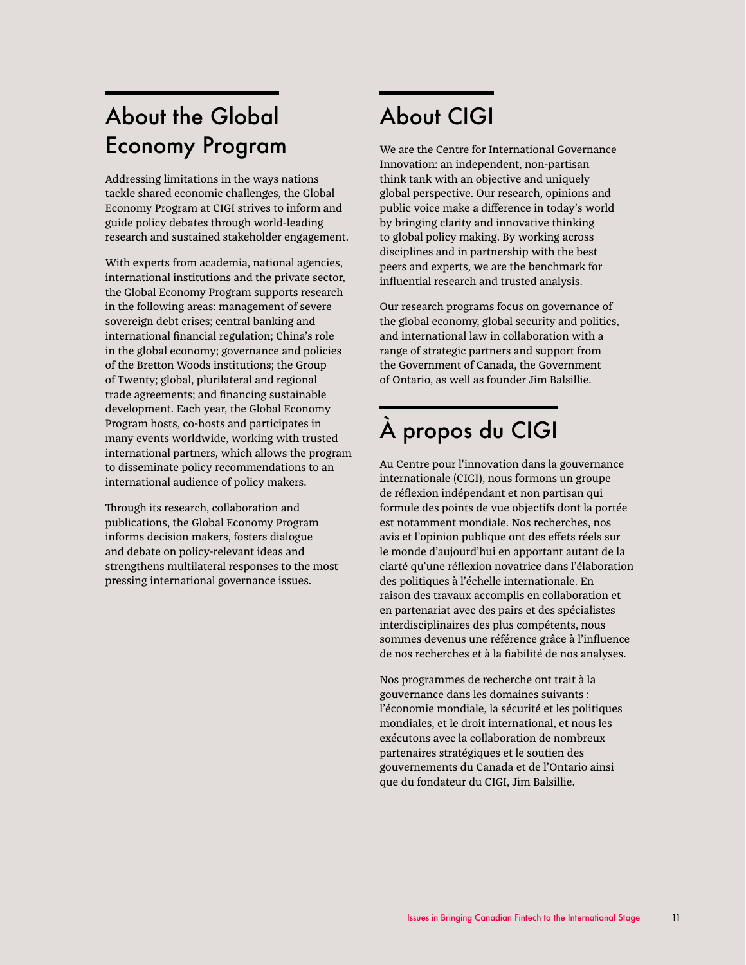## About the Global Economy Program

Addressing limitations in the ways nations tackle shared economic challenges, the Global Economy Program at CIGI strives to inform and guide policy debates through world-leading research and sustained stakeholder engagement.

With experts from academia, national agencies, international institutions and the private sector, the Global Economy Program supports research in the following areas: management of severe sovereign debt crises; central banking and international financial regulation; China's role in the global economy; governance and policies of the Bretton Woods institutions; the Group of Twenty; global, plurilateral and regional trade agreements; and financing sustainable development. Each year, the Global Economy Program hosts, co-hosts and participates in many events worldwide, working with trusted international partners, which allows the program to disseminate policy recommendations to an international audience of policy makers.

Through its research, collaboration and publications, the Global Economy Program informs decision makers, fosters dialogue and debate on policy-relevant ideas and strengthens multilateral responses to the most pressing international governance issues.

# About CIGI

We are the Centre for International Governance Innovation: an independent, non-partisan think tank with an objective and uniquely global perspective. Our research, opinions and public voice make a difference in today's world by bringing clarity and innovative thinking to global policy making. By working across disciplines and in partnership with the best peers and experts, we are the benchmark for influential research and trusted analysis.

Our research programs focus on governance of the global economy, global security and politics, and international law in collaboration with a range of strategic partners and support from the Government of Canada, the Government of Ontario, as well as founder Jim Balsillie.

# À propos du CIGI

Au Centre pour l'innovation dans la gouvernance internationale (CIGI), nous formons un groupe de réflexion indépendant et non partisan qui formule des points de vue objectifs dont la portée est notamment mondiale. Nos recherches, nos avis et l'opinion publique ont des effets réels sur le monde d'aujourd'hui en apportant autant de la clarté qu'une réflexion novatrice dans l'élaboration des politiques à l'échelle internationale. En raison des travaux accomplis en collaboration et en partenariat avec des pairs et des spécialistes interdisciplinaires des plus compétents, nous sommes devenus une référence grâce à l'influence de nos recherches et à la fiabilité de nos analyses.

Nos programmes de recherche ont trait à la gouvernance dans les domaines suivants : l'économie mondiale, la sécurité et les politiques mondiales, et le droit international, et nous les exécutons avec la collaboration de nombreux partenaires stratégiques et le soutien des gouvernements du Canada et de l'Ontario ainsi que du fondateur du CIGI, Jim Balsillie.